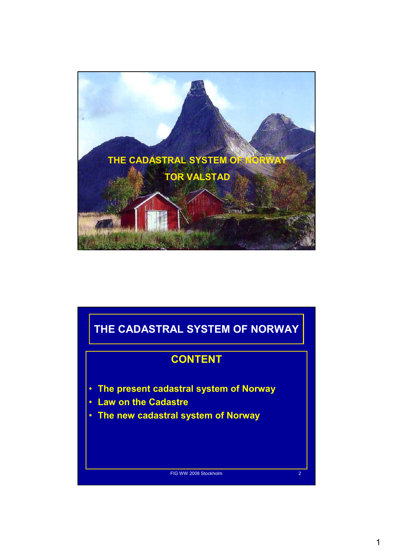

# FIG WW 2008 Stockholm 2 **THE CADASTRAL SYSTEM OF NORWAY CONTENT** • **The present cadastral system of Norway** • **Law on the Cadastre** • **The new cadastral system of Norway**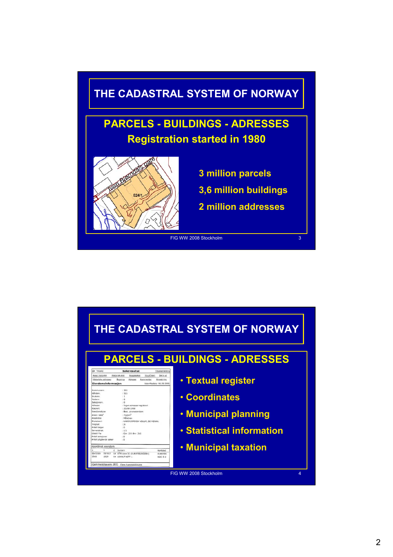

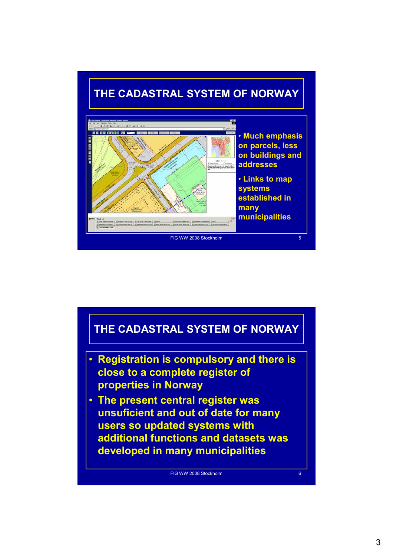

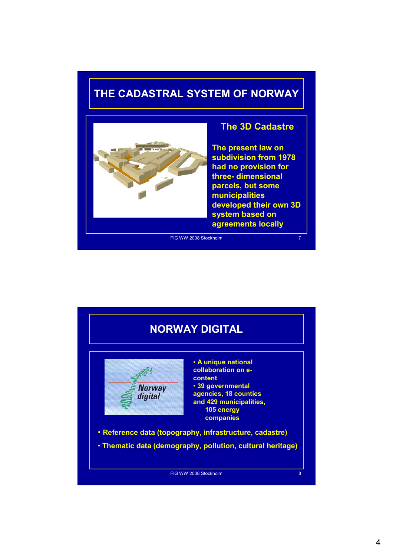### **THE CADASTRAL SYSTEM OF NORWAY**



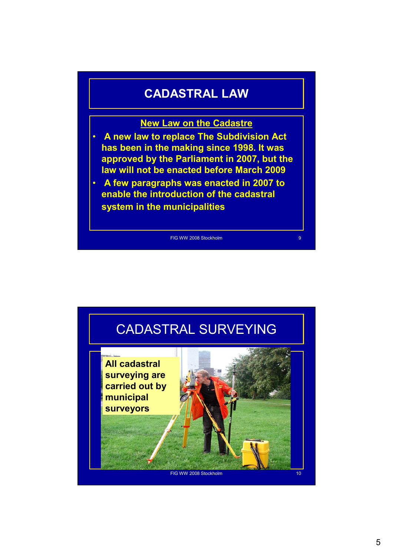#### **CADASTRAL LAW**

#### **New Law on the Cadastre**

- **A new law to replace The Subdivision Act has been in the making since 1998. It was approved by the Parliament in 2007, but the law will not be enacted before March 2009**
- **A few paragraphs was enacted in 2007 to enable the introduction of the cadastral system in the municipalities**

FIG WW 2008 Stockholm 9 and 9 and 9 and 9 and 9 and 9 and 9 and 9 and 9 and 9 and 9 and 9 and 9 and 9 and 9 and 9 and 9 and 9 and 9 and 9 and 9 and 9 and 9 and 9 and 9 and 9 and 9 and 9 and 9 and 9 and 9 and 9 and 9 and 9

## CADASTRAL SURVEYING **New housing complex with underground and development parking All cadastral surveying are carried out by municipal surveyors**

FIG WW 2008 Stockholm 10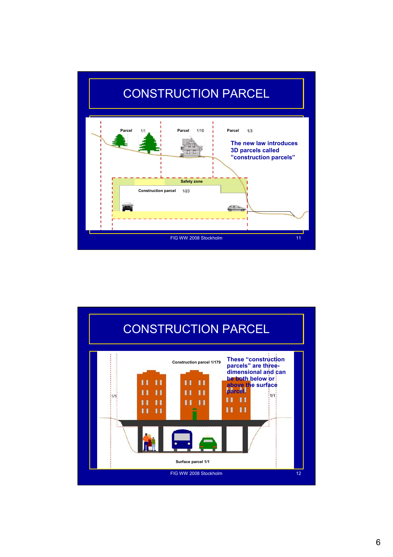

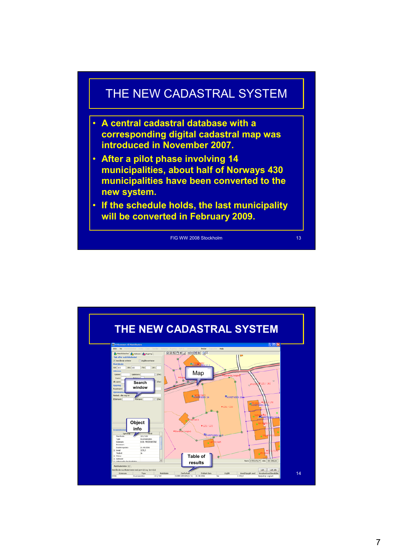

- **A central cadastral database with a corresponding digital cadastral map was introduced in November 2007.**
- **After a pilot phase involving 14 municipalities, about half of Norways 430 municipalities have been converted to the new system.**
- **If the schedule holds, the last municipality will be converted in February 2009.**



**THE NEW CADASTRAL SYSTEM** OKO42 MMX4 QR Map **Search window Object infoTable of results** Elerforhold Dtablert dato Utgått Areal(Oppgitt areal Arealisted Weeklide 14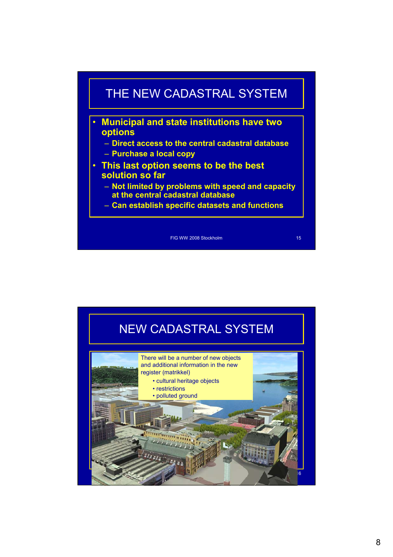